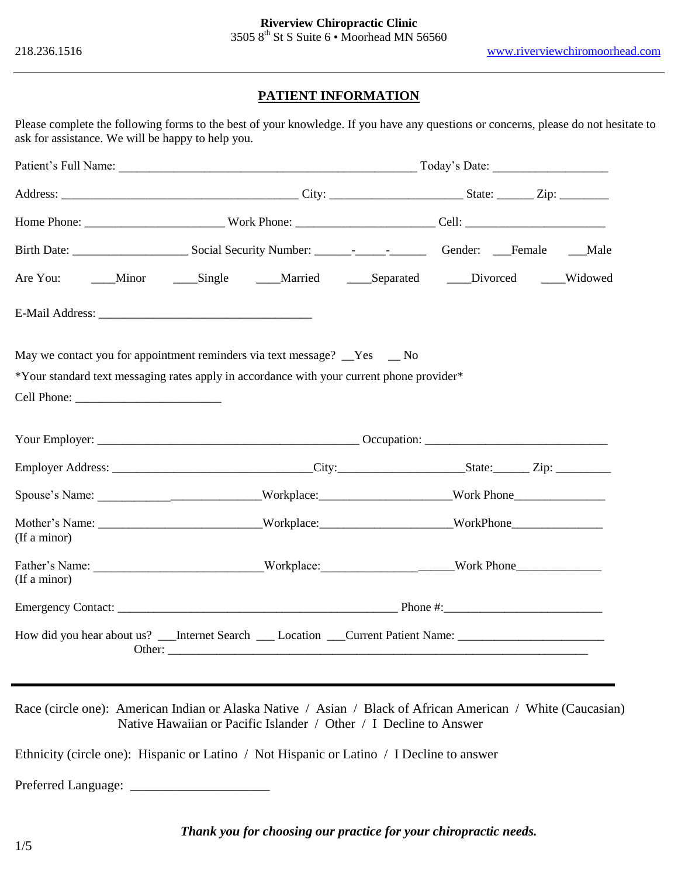## **PATIENT INFORMATION**

Please complete the following forms to the best of your knowledge. If you have any questions or concerns, please do not hesitate to ask for assistance. We will be happy to help you.

|              | Are You: ______Minor ______Single ______Married ______Separated _____Divorced _____Widowed                                                                             |  |  |  |
|--------------|------------------------------------------------------------------------------------------------------------------------------------------------------------------------|--|--|--|
|              |                                                                                                                                                                        |  |  |  |
|              | May we contact you for appointment reminders via text message? Tes Theory<br>*Your standard text messaging rates apply in accordance with your current phone provider* |  |  |  |
|              |                                                                                                                                                                        |  |  |  |
|              |                                                                                                                                                                        |  |  |  |
|              | Spouse's Name: _______________________________Workplace: ____________________________Work Phone_______________                                                         |  |  |  |
| (If a minor) | Mother's Name: ______________________________Workplace: _________________________WorkPhone____________________                                                         |  |  |  |
| (If a minor) | Father's Name: ______________________________Workplace: _________________________Work Phone___________________                                                         |  |  |  |
|              |                                                                                                                                                                        |  |  |  |
|              | How did you hear about us? ___Internet Search ____ Location ___Current Patient Name: _____________________                                                             |  |  |  |

Race (circle one): American Indian or Alaska Native / Asian / Black of African American / White (Caucasian) Native Hawaiian or Pacific Islander / Other / I Decline to Answer

Ethnicity (circle one): Hispanic or Latino / Not Hispanic or Latino / I Decline to answer

Preferred Language: \_

*Thank you for choosing our practice for your chiropractic needs.*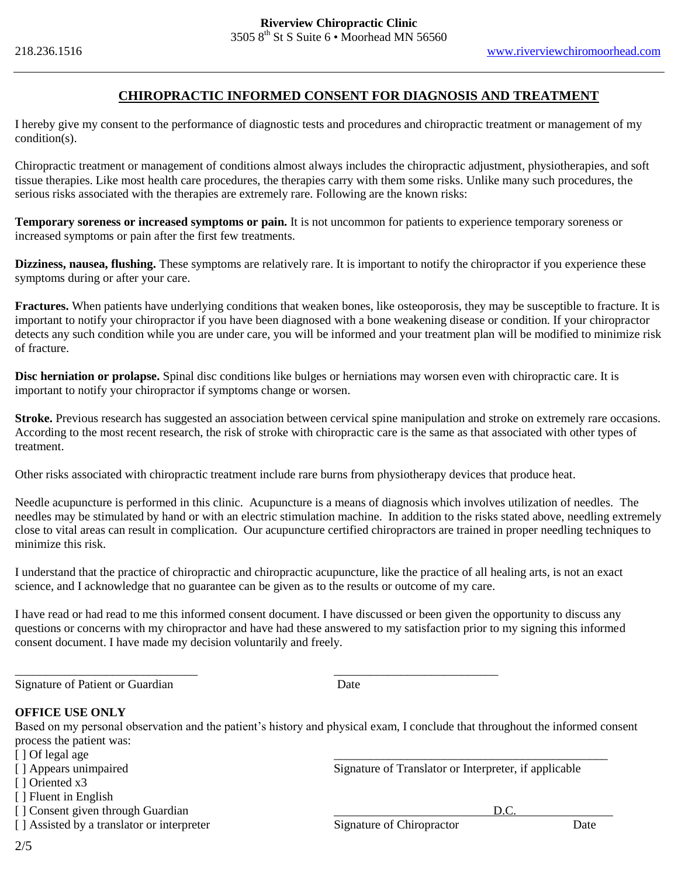### **CHIROPRACTIC INFORMED CONSENT FOR DIAGNOSIS AND TREATMENT**

I hereby give my consent to the performance of diagnostic tests and procedures and chiropractic treatment or management of my condition(s).

Chiropractic treatment or management of conditions almost always includes the chiropractic adjustment, physiotherapies, and soft tissue therapies. Like most health care procedures, the therapies carry with them some risks. Unlike many such procedures, the serious risks associated with the therapies are extremely rare. Following are the known risks:

**Temporary soreness or increased symptoms or pain.** It is not uncommon for patients to experience temporary soreness or increased symptoms or pain after the first few treatments.

**Dizziness, nausea, flushing.** These symptoms are relatively rare. It is important to notify the chiropractor if you experience these symptoms during or after your care.

**Fractures.** When patients have underlying conditions that weaken bones, like osteoporosis, they may be susceptible to fracture. It is important to notify your chiropractor if you have been diagnosed with a bone weakening disease or condition. If your chiropractor detects any such condition while you are under care, you will be informed and your treatment plan will be modified to minimize risk of fracture.

**Disc herniation or prolapse.** Spinal disc conditions like bulges or herniations may worsen even with chiropractic care. It is important to notify your chiropractor if symptoms change or worsen.

**Stroke.** Previous research has suggested an association between cervical spine manipulation and stroke on extremely rare occasions. According to the most recent research, the risk of stroke with chiropractic care is the same as that associated with other types of treatment.

Other risks associated with chiropractic treatment include rare burns from physiotherapy devices that produce heat.

Needle acupuncture is performed in this clinic. Acupuncture is a means of diagnosis which involves utilization of needles. The needles may be stimulated by hand or with an electric stimulation machine. In addition to the risks stated above, needling extremely close to vital areas can result in complication. Our acupuncture certified chiropractors are trained in proper needling techniques to minimize this risk.

I understand that the practice of chiropractic and chiropractic acupuncture, like the practice of all healing arts, is not an exact science, and I acknowledge that no guarantee can be given as to the results or outcome of my care.

I have read or had read to me this informed consent document. I have discussed or been given the opportunity to discuss any questions or concerns with my chiropractor and have had these answered to my satisfaction prior to my signing this informed consent document. I have made my decision voluntarily and freely.

\_\_\_\_\_\_\_\_\_\_\_\_\_\_\_\_\_\_\_\_\_\_\_\_\_\_\_\_\_\_ \_\_\_\_\_\_\_\_\_\_\_\_\_\_\_\_\_\_\_\_\_\_\_\_\_\_\_

Signature of Patient or Guardian Date

### **OFFICE USE ONLY**

Based on my personal observation and the patient's history and physical exam, I conclude that throughout the informed consent process the patient was:

- 
- [ ] Of legal age<br>
[ ] Appears unimpaired
- [ ] Oriented x3
- [ ] Fluent in English
- [ ] Consent given through Guardian D.C.
- [ ] Assisted by a translator or interpreter Signature of Chiropractor Date

Signature of Translator or Interpreter, if applicable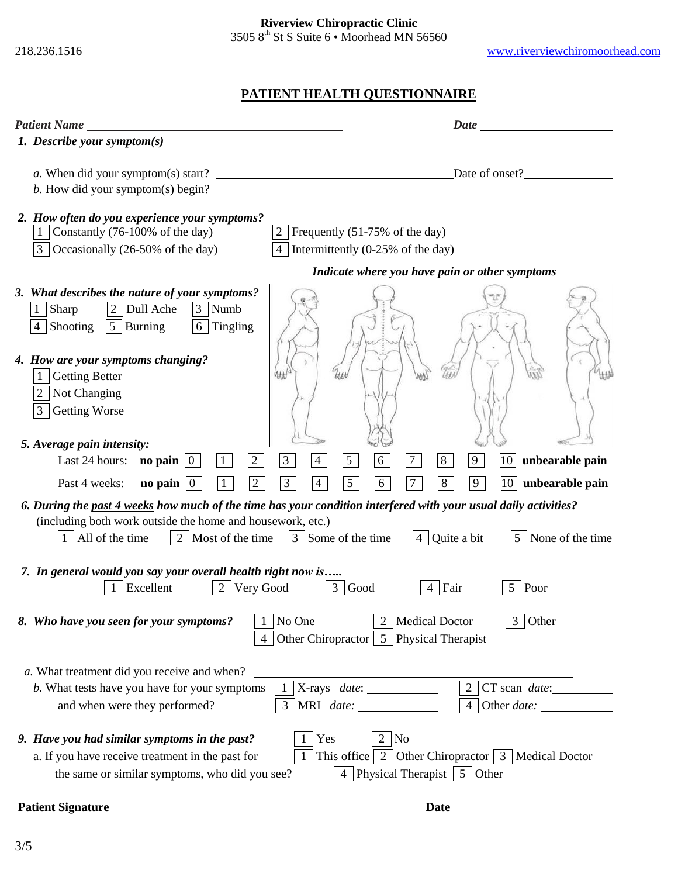218.236.1516www.riverviewchiromoorhead.com

# **PATIENT HEALTH QUESTIONNAIRE**

| <b>Patient Name</b><br><u> 1980 - Johann Barn, mars ann an t-Amhain Aonaichte ann an t-Aonaichte ann an t-Aonaichte ann an t-Aonaichte a</u>                                                                                                                                                                   |                                                                                                                                    |  |  |  |
|----------------------------------------------------------------------------------------------------------------------------------------------------------------------------------------------------------------------------------------------------------------------------------------------------------------|------------------------------------------------------------------------------------------------------------------------------------|--|--|--|
| 1. Describe your symptom(s) $\overline{\phantom{a}}$                                                                                                                                                                                                                                                           |                                                                                                                                    |  |  |  |
| b. How did your symptom(s) begin?                                                                                                                                                                                                                                                                              |                                                                                                                                    |  |  |  |
| 2. How often do you experience your symptoms?<br>Constantly (76-100% of the day)<br>1<br>$\overline{3}$<br>Occasionally (26-50% of the day)                                                                                                                                                                    | Frequently (51-75% of the day)<br>Intermittently $(0-25\% \text{ of the day})$                                                     |  |  |  |
|                                                                                                                                                                                                                                                                                                                | Indicate where you have pain or other symptoms                                                                                     |  |  |  |
| 3. What describes the nature of your symptoms?<br>2 <sup>1</sup><br>Dull Ache<br>3 <sup>1</sup><br>Sharp<br>Numb<br>6 Tingling<br>Shooting<br>5 Burning<br>4. How are your symptoms changing?                                                                                                                  |                                                                                                                                    |  |  |  |
| <b>Getting Better</b><br>1<br>Not Changing<br><b>Getting Worse</b><br>3                                                                                                                                                                                                                                        |                                                                                                                                    |  |  |  |
| 5. Average pain intensity:<br>$\overline{2}$<br>Last 24 hours: <b>no pain</b> $\vert 0 \vert$<br>$\mathbf{1}$                                                                                                                                                                                                  | 6<br>$\overline{3}$<br>5 <sup>5</sup><br>8<br>9<br>10<br>unbearable pain<br>$\overline{4}$                                         |  |  |  |
| $\overline{2}$<br>no pain $ 0 $<br>Past 4 weeks:<br>$\mathbf{1}$                                                                                                                                                                                                                                               | $5\overline{)}$<br>$\overline{3}$<br>6<br>$7\phantom{.0}$<br>8<br>9<br>10<br>$\overline{4}$<br>unbearable pain                     |  |  |  |
| 6. During the past 4 weeks how much of the time has your condition interfered with your usual daily activities?<br>(including both work outside the home and housework, etc.)<br>  2   Most of the time   3   Some of the time<br>1 All of the time<br>$ 4 $ Quite a bit<br>None of the time<br>$\overline{5}$ |                                                                                                                                    |  |  |  |
| 7. In general would you say your overall health right now is<br>2 Very Good<br>Excellent                                                                                                                                                                                                                       | $\mathfrak{Z}$<br>Good<br>4 Fair<br>5 Poor                                                                                         |  |  |  |
| No One<br><b>Medical Doctor</b><br>3 Other<br>8. Who have you seen for your symptoms?<br>Other Chiropractor 5 Physical Therapist                                                                                                                                                                               |                                                                                                                                    |  |  |  |
| a. What treatment did you receive and when?<br>b. What tests have you have for your symptoms<br>and when were they performed?                                                                                                                                                                                  | X-rays date:                                                                                                                       |  |  |  |
| 9. Have you had similar symptoms in the past?<br>a. If you have receive treatment in the past for<br>the same or similar symptoms, who did you see?                                                                                                                                                            | Yes<br>$2 \text{ No}$<br>This office $\mid 2 \mid$ Other Chiropractor $\mid 3 \mid$ Medical Doctor<br>4 Physical Therapist 5 Other |  |  |  |
| <b>Patient Signature</b><br><u> 1989 - Johann Barbara, martin amerikan basar dan berasal dan berasal dalam basar dalam basar dalam basar dala</u>                                                                                                                                                              | Date                                                                                                                               |  |  |  |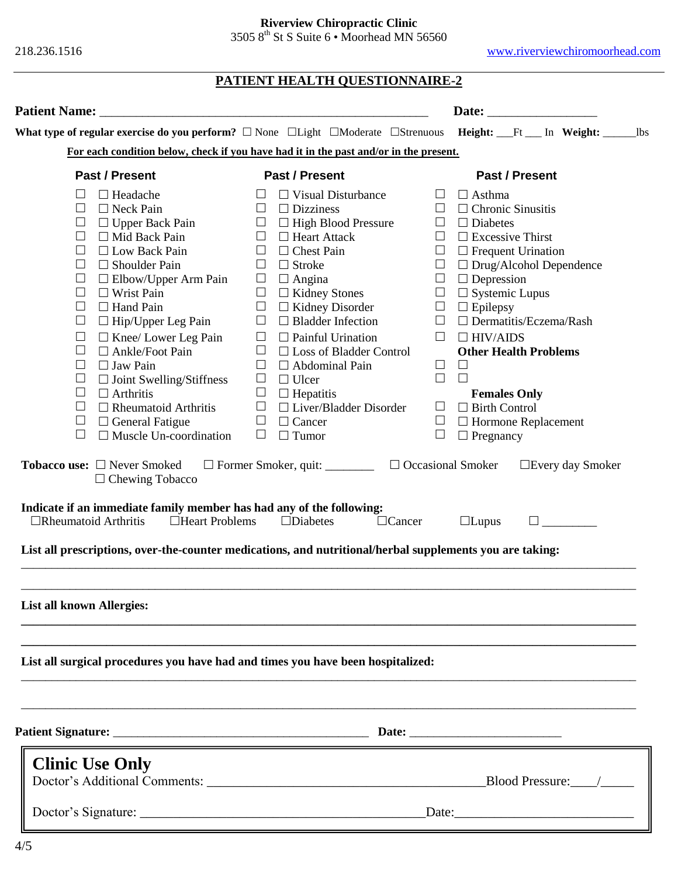**Riverview Chiropractic Clinic**

3505  $8<sup>th</sup>$  St S Suite 6 • Moorhead MN 56560

218.236.1516www.riverviewchiromoorhead.com

|                                                                                                                                                                                                                                                                                                                                                                                                                                                                                                                                                                                                                                                                                                                                                                                                                                                                                                                                                            | PATIENT HEALTH QUESTIONNAIRE-2                                                                                                                                                                                                                                                                                                                                                                                                                                                                                                                                                                                                                                                                                                                                                                                |                                                                                                                                                                                                                                                                                                                                                                                                                                                                                                         |  |  |
|------------------------------------------------------------------------------------------------------------------------------------------------------------------------------------------------------------------------------------------------------------------------------------------------------------------------------------------------------------------------------------------------------------------------------------------------------------------------------------------------------------------------------------------------------------------------------------------------------------------------------------------------------------------------------------------------------------------------------------------------------------------------------------------------------------------------------------------------------------------------------------------------------------------------------------------------------------|---------------------------------------------------------------------------------------------------------------------------------------------------------------------------------------------------------------------------------------------------------------------------------------------------------------------------------------------------------------------------------------------------------------------------------------------------------------------------------------------------------------------------------------------------------------------------------------------------------------------------------------------------------------------------------------------------------------------------------------------------------------------------------------------------------------|---------------------------------------------------------------------------------------------------------------------------------------------------------------------------------------------------------------------------------------------------------------------------------------------------------------------------------------------------------------------------------------------------------------------------------------------------------------------------------------------------------|--|--|
| <b>Patient Name:</b>                                                                                                                                                                                                                                                                                                                                                                                                                                                                                                                                                                                                                                                                                                                                                                                                                                                                                                                                       |                                                                                                                                                                                                                                                                                                                                                                                                                                                                                                                                                                                                                                                                                                                                                                                                               |                                                                                                                                                                                                                                                                                                                                                                                                                                                                                                         |  |  |
| What type of regular exercise do you perform? $\Box$ None $\Box$ Light $\Box$ Moderate $\Box$ Strenuous Height: Ft In Weight: Us                                                                                                                                                                                                                                                                                                                                                                                                                                                                                                                                                                                                                                                                                                                                                                                                                           |                                                                                                                                                                                                                                                                                                                                                                                                                                                                                                                                                                                                                                                                                                                                                                                                               |                                                                                                                                                                                                                                                                                                                                                                                                                                                                                                         |  |  |
| For each condition below, check if you have had it in the past and/or in the present.                                                                                                                                                                                                                                                                                                                                                                                                                                                                                                                                                                                                                                                                                                                                                                                                                                                                      |                                                                                                                                                                                                                                                                                                                                                                                                                                                                                                                                                                                                                                                                                                                                                                                                               |                                                                                                                                                                                                                                                                                                                                                                                                                                                                                                         |  |  |
| <b>Past / Present</b>                                                                                                                                                                                                                                                                                                                                                                                                                                                                                                                                                                                                                                                                                                                                                                                                                                                                                                                                      | <b>Past / Present</b>                                                                                                                                                                                                                                                                                                                                                                                                                                                                                                                                                                                                                                                                                                                                                                                         | Past / Present                                                                                                                                                                                                                                                                                                                                                                                                                                                                                          |  |  |
| $\Box$ Headache<br>⊔<br>$\Box$<br>$\Box$ Neck Pain<br>$\Box$ Upper Back Pain<br>$\sqcup$<br>$\Box$ Mid Back Pain<br>ப<br>$\Box$ Low Back Pain<br>ப<br>$\Box$<br>$\Box$ Shoulder Pain<br>$\Box$<br>$\Box$ Elbow/Upper Arm Pain<br>$\Box$ Wrist Pain<br>$\Box$<br>$\Box$<br>$\Box$ Hand Pain<br>$\Box$ Hip/Upper Leg Pain<br>$\Box$<br>$\Box$ Knee/ Lower Leg Pain<br>$\Box$<br>$\Box$ Ankle/Foot Pain<br>$\Box$<br>$\Box$<br>$\Box$ Jaw Pain<br>$\Box$ Joint Swelling/Stiffness<br>$\Box$<br>$\Box$ Arthritis<br>$\Box$<br>$\Box$ Rheumatoid Arthritis<br>$\Box$<br>$\Box$ General Fatigue<br>$\Box$<br>$\Box$ Muscle Un-coordination<br>$\Box$<br><b>Tobacco use:</b> □ Never Smoked<br>$\Box$ Chewing Tobacco<br>Indicate if an immediate family member has had any of the following:<br>$\Box$ Rheumatoid Arthritis<br>$\Box$ Heart Problems<br>List all prescriptions, over-the-counter medications, and nutritional/herbal supplements you are taking: | $\Box$ Visual Disturbance<br>⊔<br>$\Box$<br>$\Box$ Dizziness<br>$\Box$<br>$\Box$<br>$\Box$<br>$\Box$ High Blood Pressure<br>$\Box$<br>$\Box$ Heart Attack<br>$\Box$<br>$\Box$<br>$\Box$<br>$\Box$ Chest Pain<br>$\Box$<br>$\Box$<br>$\Box$ Stroke<br>$\Box$<br>$\Box$<br>$\Box$<br>$\Box$ Angina<br>$\Box$<br>$\Box$ Kidney Stones<br>$\Box$<br>$\Box$<br>$\Box$ Kidney Disorder<br>$\Box$<br>$\Box$<br>$\Box$ Bladder Infection<br>$\Box$<br>$\Box$ Painful Urination<br>$\Box$<br>$\Box$<br>$\Box$ Loss of Bladder Control<br>$\Box$<br>$\Box$<br>$\Box$ Abdominal Pain<br>$\Box$<br>$\Box$<br>$\Box$ Ulcer<br>$\Box$<br>$\Box$ Hepatitis<br>$\Box$<br>$\Box$ Liver/Bladder Disorder<br>$\Box$<br>$\Box$<br>$\Box$ Cancer<br>$\Box$<br>$\Box$<br>$\Box$ Tumor<br>$\Box$<br>$\Box$ Diabetes<br>$\Box$ Cancer | $\Box$ Asthma<br>$\Box$ Chronic Sinusitis<br>$\Box$ Diabetes<br>$\Box$ Excessive Thirst<br>$\Box$ Frequent Urination<br>$\Box$ Drug/Alcohol Dependence<br>$\Box$ Depression<br>$\Box$ Systemic Lupus<br>$\Box$ Epilepsy<br>$\Box$ Dermatitis/Eczema/Rash<br>$\Box$ HIV/AIDS<br><b>Other Health Problems</b><br>$\Box$<br>$\Box$<br><b>Females Only</b><br>$\Box$ Birth Control<br>$\Box$ Hormone Replacement<br>$\Box$ Pregnancy<br>$\Box$ Occasional Smoker<br>$\Box$ Every day Smoker<br>$\Box$ Lupus |  |  |
| <b>List all known Allergies:</b>                                                                                                                                                                                                                                                                                                                                                                                                                                                                                                                                                                                                                                                                                                                                                                                                                                                                                                                           |                                                                                                                                                                                                                                                                                                                                                                                                                                                                                                                                                                                                                                                                                                                                                                                                               |                                                                                                                                                                                                                                                                                                                                                                                                                                                                                                         |  |  |
| List all surgical procedures you have had and times you have been hospitalized:                                                                                                                                                                                                                                                                                                                                                                                                                                                                                                                                                                                                                                                                                                                                                                                                                                                                            |                                                                                                                                                                                                                                                                                                                                                                                                                                                                                                                                                                                                                                                                                                                                                                                                               |                                                                                                                                                                                                                                                                                                                                                                                                                                                                                                         |  |  |
|                                                                                                                                                                                                                                                                                                                                                                                                                                                                                                                                                                                                                                                                                                                                                                                                                                                                                                                                                            |                                                                                                                                                                                                                                                                                                                                                                                                                                                                                                                                                                                                                                                                                                                                                                                                               |                                                                                                                                                                                                                                                                                                                                                                                                                                                                                                         |  |  |
| <b>Clinic Use Only</b>                                                                                                                                                                                                                                                                                                                                                                                                                                                                                                                                                                                                                                                                                                                                                                                                                                                                                                                                     |                                                                                                                                                                                                                                                                                                                                                                                                                                                                                                                                                                                                                                                                                                                                                                                                               |                                                                                                                                                                                                                                                                                                                                                                                                                                                                                                         |  |  |
|                                                                                                                                                                                                                                                                                                                                                                                                                                                                                                                                                                                                                                                                                                                                                                                                                                                                                                                                                            | Date:                                                                                                                                                                                                                                                                                                                                                                                                                                                                                                                                                                                                                                                                                                                                                                                                         |                                                                                                                                                                                                                                                                                                                                                                                                                                                                                                         |  |  |